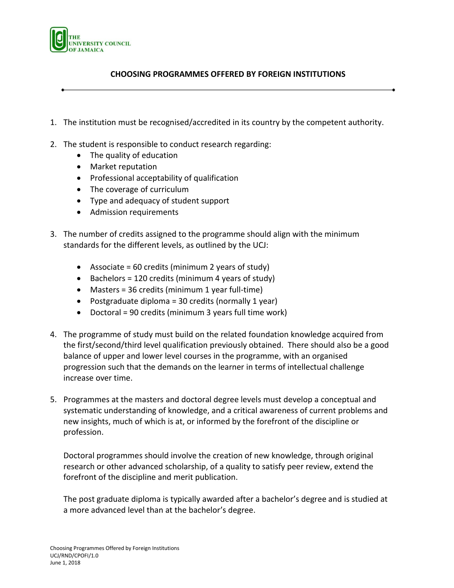

## **CHOOSING PROGRAMMES OFFERED BY FOREIGN INSTITUTIONS**

- 1. The institution must be recognised/accredited in its country by the competent authority.
- 2. The student is responsible to conduct research regarding:
	- The quality of education
	- Market reputation
	- Professional acceptability of qualification
	- The coverage of curriculum
	- Type and adequacy of student support
	- Admission requirements
- 3. The number of credits assigned to the programme should align with the minimum standards for the different levels, as outlined by the UCJ:
	- Associate = 60 credits (minimum 2 years of study)
	- $\bullet$  Bachelors = 120 credits (minimum 4 years of study)
	- Masters = 36 credits (minimum 1 year full-time)
	- Postgraduate diploma = 30 credits (normally 1 year)
	- Doctoral = 90 credits (minimum 3 years full time work)
- 4. The programme of study must build on the related foundation knowledge acquired from the first/second/third level qualification previously obtained. There should also be a good balance of upper and lower level courses in the programme, with an organised progression such that the demands on the learner in terms of intellectual challenge increase over time.
- 5. Programmes at the masters and doctoral degree levels must develop a conceptual and systematic understanding of knowledge, and a critical awareness of current problems and new insights, much of which is at, or informed by the forefront of the discipline or profession.

Doctoral programmes should involve the creation of new knowledge, through original research or other advanced scholarship, of a quality to satisfy peer review, extend the forefront of the discipline and merit publication.

The post graduate diploma is typically awarded after a bachelor's degree and is studied at a more advanced level than at the bachelor's degree.